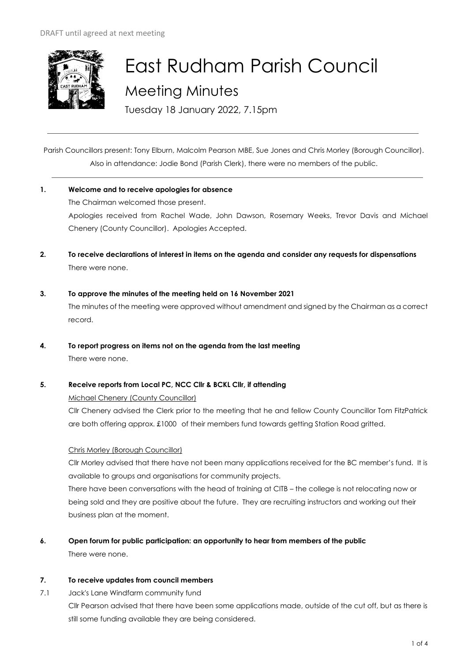

# East Rudham Parish Council Meeting Minutes

Tuesday 18 January 2022, 7.15pm

Parish Councillors present: Tony Elburn, Malcolm Pearson MBE, Sue Jones and Chris Morley (Borough Councillor). Also in attendance: Jodie Bond (Parish Clerk), there were no members of the public.

## **1. Welcome and to receive apologies for absence** The Chairman welcomed those present. Apologies received from Rachel Wade, John Dawson, Rosemary Weeks, Trevor Davis and Michael

- **2. To receive declarations of interest in items on the agenda and consider any requests for dispensations**  There were none.
- **3. To approve the minutes of the meeting held on 16 November 2021**  The minutes of the meeting were approved without amendment and signed by the Chairman as a correct record.
- **4. To report progress on items not on the agenda from the last meeting**  There were none.

## **5. Receive reports from Local PC, NCC Cllr & BCKL Cllr, if attending**

Chenery (County Councillor). Apologies Accepted.

Michael Chenery (County Councillor)

Cllr Chenery advised the Clerk prior to the meeting that he and fellow County Councillor Tom FitzPatrick are both offering approx. £1000 of their members fund towards getting Station Road gritted.

## Chris Morley (Borough Councillor)

Cllr Morley advised that there have not been many applications received for the BC member's fund. It is available to groups and organisations for community projects.

There have been conversations with the head of training at CITB – the college is not relocating now or being sold and they are positive about the future. They are recruiting instructors and working out their business plan at the moment.

**6. Open forum for public participation: an opportunity to hear from members of the public** There were none.

## **7. To receive updates from council members**

7.1 Jack's Lane Windfarm community fund Cllr Pearson advised that there have been some applications made, outside of the cut off, but as there is still some funding available they are being considered.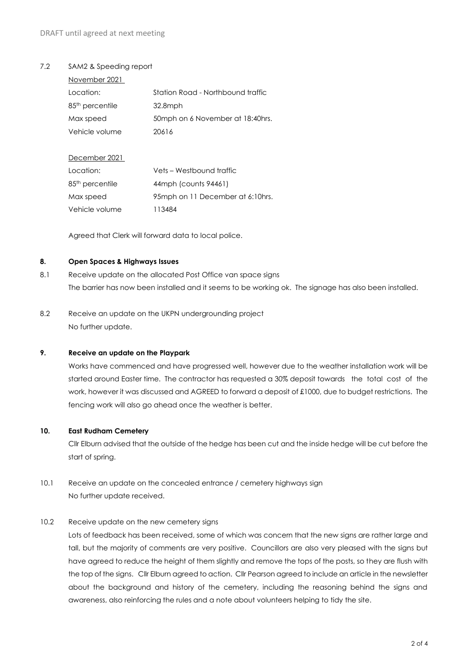#### 7.2 SAM2 & Speeding report

| November 2021               |                                    |  |  |
|-----------------------------|------------------------------------|--|--|
| Location:                   | Station Road - Northbound traffic  |  |  |
| 85 <sup>th</sup> percentile | 32.8mph                            |  |  |
| Max speed                   | 50 mph on 6 November at 18:40 hrs. |  |  |
| Vehicle volume              | 20616                              |  |  |
|                             |                                    |  |  |
| December 2021               |                                    |  |  |
| Location:                   | Vets – Westbound traffic           |  |  |
| 85 <sup>th</sup> percentile | 44mph (counts 94461)               |  |  |
| Max speed                   | 95mph on 11 December at 6:10hrs.   |  |  |
| Vehicle volume              | 113484                             |  |  |

Agreed that Clerk will forward data to local police.

#### **8. Open Spaces & Highways Issues**

- 8.1 Receive update on the allocated Post Office van space signs The barrier has now been installed and it seems to be working ok. The signage has also been installed.
- 8.2 Receive an update on the UKPN undergrounding project No further update.

#### **9. Receive an update on the Playpark**

Works have commenced and have progressed well, however due to the weather installation work will be started around Easter time. The contractor has requested a 30% deposit towards the total cost of the work, however it was discussed and AGREED to forward a deposit of £1000, due to budget restrictions. The fencing work will also go ahead once the weather is better.

#### **10. East Rudham Cemetery**

Cllr Elburn advised that the outside of the hedge has been cut and the inside hedge will be cut before the start of spring.

## 10.1 Receive an update on the concealed entrance / cemetery highways sign No further update received.

## 10.2 Receive update on the new cemetery signs

Lots of feedback has been received, some of which was concern that the new signs are rather large and tall, but the majority of comments are very positive. Councillors are also very pleased with the signs but have agreed to reduce the height of them slightly and remove the tops of the posts, so they are flush with the top of the signs. Cllr Elburn agreed to action. Cllr Pearson agreed to include an article in the newsletter about the background and history of the cemetery, including the reasoning behind the signs and awareness, also reinforcing the rules and a note about volunteers helping to tidy the site.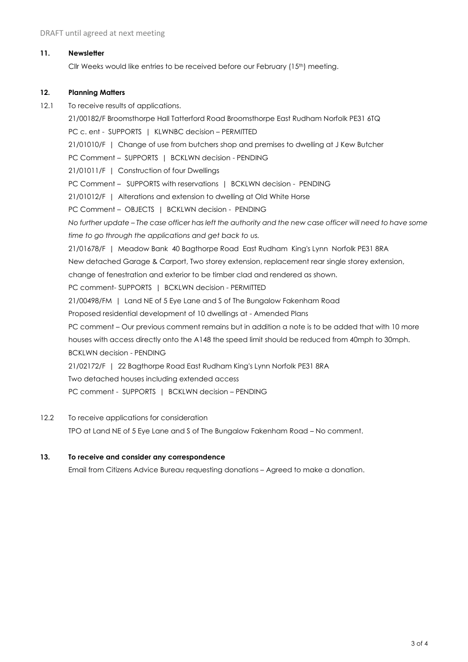#### **11. Newsletter**

Cllr Weeks would like entries to be received before our February (15<sup>th</sup>) meeting.

#### **12. Planning Matters**

12.1 To receive results of applications.

21/00182/F Broomsthorpe Hall Tatterford Road Broomsthorpe East Rudham Norfolk PE31 6TQ PC c. ent - SUPPORTS | KLWNBC decision - PERMITTED 21/01010/F | Change of use from butchers shop and premises to dwelling at J Kew Butcher PC Comment – SUPPORTS | BCKLWN decision - PENDING 21/01011/F | Construction of four Dwellings PC Comment - SUPPORTS with reservations | BCKLWN decision - PENDING 21/01012/F | Alterations and extension to dwelling at Old White Horse PC Comment – OBJECTS | BCKLWN decision - PENDING *No further update – The case officer has left the authority and the new case officer will need to have some time to go through the applications and get back to us.* 21/01678/F | Meadow Bank 40 Bagthorpe Road East Rudham King's Lynn Norfolk PE31 8RA New detached Garage & Carport, Two storey extension, replacement rear single storey extension, change of fenestration and exterior to be timber clad and rendered as shown. PC comment- SUPPORTS | BCKLWN decision - PERMITTED 21/00498/FM | Land NE of 5 Eye Lane and S of The Bungalow Fakenham Road Proposed residential development of 10 dwellings at - Amended Plans PC comment – Our previous comment remains but in addition a note is to be added that with 10 more houses with access directly onto the A148 the speed limit should be reduced from 40mph to 30mph. BCKLWN decision - PENDING 21/02172/F | 22 Bagthorpe Road East Rudham King's Lynn Norfolk PE31 8RA Two detached houses including extended access PC comment - SUPPORTS | BCKLWN decision – PENDING

- 12.2 To receive applications for consideration TPO at Land NE of 5 Eye Lane and S of The Bungalow Fakenham Road – No comment.
- **13. To receive and consider any correspondence**

Email from Citizens Advice Bureau requesting donations – Agreed to make a donation.